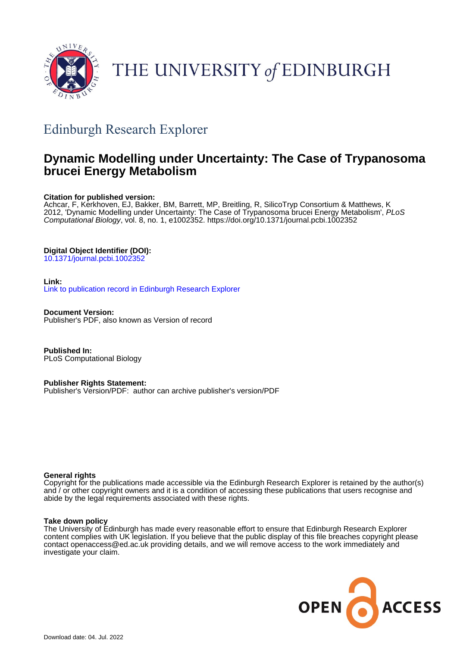

# THE UNIVERSITY of EDINBURGH

## Edinburgh Research Explorer

## **Dynamic Modelling under Uncertainty: The Case of Trypanosoma brucei Energy Metabolism**

## **Citation for published version:**

Achcar, F, Kerkhoven, EJ, Bakker, BM, Barrett, MP, Breitling, R, SilicoTryp Consortium & Matthews, K 2012, 'Dynamic Modelling under Uncertainty: The Case of Trypanosoma brucei Energy Metabolism', PLoS Computational Biology, vol. 8, no. 1, e1002352. <https://doi.org/10.1371/journal.pcbi.1002352>

## **Digital Object Identifier (DOI):**

[10.1371/journal.pcbi.1002352](https://doi.org/10.1371/journal.pcbi.1002352)

### **Link:**

[Link to publication record in Edinburgh Research Explorer](https://www.research.ed.ac.uk/en/publications/1b3cd2dd-124d-47f9-b84e-921a89707b73)

**Document Version:** Publisher's PDF, also known as Version of record

**Published In:** PLoS Computational Biology

**Publisher Rights Statement:**

Publisher's Version/PDF: author can archive publisher's version/PDF

### **General rights**

Copyright for the publications made accessible via the Edinburgh Research Explorer is retained by the author(s) and / or other copyright owners and it is a condition of accessing these publications that users recognise and abide by the legal requirements associated with these rights.

### **Take down policy**

The University of Edinburgh has made every reasonable effort to ensure that Edinburgh Research Explorer content complies with UK legislation. If you believe that the public display of this file breaches copyright please contact openaccess@ed.ac.uk providing details, and we will remove access to the work immediately and investigate your claim.

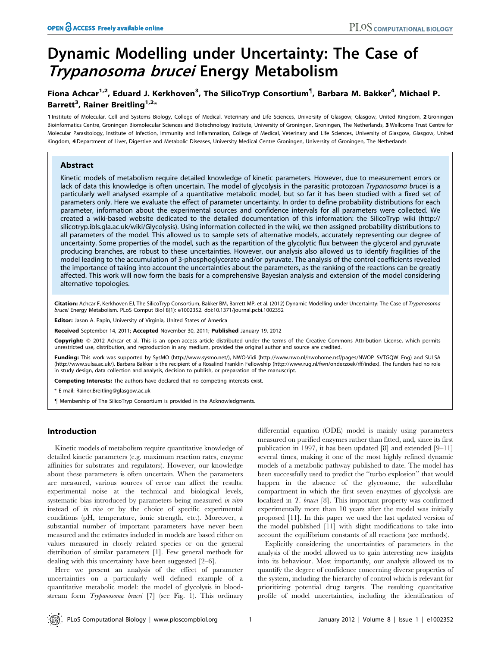## Dynamic Modelling under Uncertainty: The Case of Trypanosoma brucei Energy Metabolism

## Fiona Achcar<sup>1,2</sup>, Eduard J. Kerkhoven<sup>3</sup>, The SilicoTryp Consortium<sup>¶</sup>, Barbara M. Bakker<sup>4</sup>, Michael P. Barrett<sup>3</sup>, Rainer Breitling<sup>1,2</sup>\*

1 Institute of Molecular, Cell and Systems Biology, College of Medical, Veterinary and Life Sciences, University of Glasgow, Glasgow, United Kingdom, 2 Groningen Bioinformatics Centre, Groningen Biomolecular Sciences and Biotechnology Institute, University of Groningen, Groningen, The Netherlands, 3 Wellcome Trust Centre for Molecular Parasitology, Institute of Infection, Immunity and Inflammation, College of Medical, Veterinary and Life Sciences, University of Glasgow, Glasgow, United Kingdom, 4 Department of Liver, Digestive and Metabolic Diseases, University Medical Centre Groningen, University of Groningen, The Netherlands

#### Abstract

Kinetic models of metabolism require detailed knowledge of kinetic parameters. However, due to measurement errors or lack of data this knowledge is often uncertain. The model of glycolysis in the parasitic protozoan Trypanosoma brucei is a particularly well analysed example of a quantitative metabolic model, but so far it has been studied with a fixed set of parameters only. Here we evaluate the effect of parameter uncertainty. In order to define probability distributions for each parameter, information about the experimental sources and confidence intervals for all parameters were collected. We created a wiki-based website dedicated to the detailed documentation of this information: the SilicoTryp wiki (http:// silicotryp.ibls.gla.ac.uk/wiki/Glycolysis). Using information collected in the wiki, we then assigned probability distributions to all parameters of the model. This allowed us to sample sets of alternative models, accurately representing our degree of uncertainty. Some properties of the model, such as the repartition of the glycolytic flux between the glycerol and pyruvate producing branches, are robust to these uncertainties. However, our analysis also allowed us to identify fragilities of the model leading to the accumulation of 3-phosphoglycerate and/or pyruvate. The analysis of the control coefficients revealed the importance of taking into account the uncertainties about the parameters, as the ranking of the reactions can be greatly affected. This work will now form the basis for a comprehensive Bayesian analysis and extension of the model considering alternative topologies.

Citation: Achcar F, Kerkhoven EJ, The SilicoTryp Consortium, Bakker BM, Barrett MP, et al. (2012) Dynamic Modelling under Uncertainty: The Case of Trypanosoma brucei Energy Metabolism. PLoS Comput Biol 8(1): e1002352. doi:10.1371/journal.pcbi.1002352

Editor: Jason A. Papin, University of Virginia, United States of America

Received September 14, 2011; Accepted November 30, 2011; Published January 19, 2012

Copyright: © 2012 Achcar et al. This is an open-access article distributed under the terms of the Creative Commons Attribution License, which permits unrestricted use, distribution, and reproduction in any medium, provided the original author and source are credited.

Funding: This work was supported by SysMO (http://www.sysmo.net/), NWO-Vidi (http://www.nwo.nl/nwohome.nsf/pages/NWOP\_5VTGQW\_Eng) and SULSA (http://www.sulsa.ac.uk/). Barbara Bakker is the recipient of a Rosalind Franklin Fellowship (http://www.rug.nl/fwn/onderzoek/rff/index). The funders had no role in study design, data collection and analysis, decision to publish, or preparation of the manuscript.

Competing Interests: The authors have declared that no competing interests exist.

\* E-mail: Rainer.Breitling@glasgow.ac.uk

" Membership of The SilicoTryp Consortium is provided in the Acknowledgments.

#### Introduction

Kinetic models of metabolism require quantitative knowledge of detailed kinetic parameters (e.g. maximum reaction rates, enzyme affinities for substrates and regulators). However, our knowledge about these parameters is often uncertain. When the parameters are measured, various sources of error can affect the results: experimental noise at the technical and biological levels, systematic bias introduced by parameters being measured in vitro instead of in vivo or by the choice of specific experimental conditions (pH, temperature, ionic strength, etc.). Moreover, a substantial number of important parameters have never been measured and the estimates included in models are based either on values measured in closely related species or on the general distribution of similar parameters [1]. Few general methods for dealing with this uncertainty have been suggested [2–6].

Here we present an analysis of the effect of parameter uncertainties on a particularly well defined example of a quantitative metabolic model: the model of glycolysis in bloodstream form Trypanosoma brucei [7] (see Fig. 1). This ordinary

differential equation (ODE) model is mainly using parameters measured on purified enzymes rather than fitted, and, since its first publication in 1997, it has been updated [8] and extended [9–11] several times, making it one of the most highly refined dynamic models of a metabolic pathway published to date. The model has been successfully used to predict the ''turbo explosion'' that would happen in the absence of the glycosome, the subcellular compartment in which the first seven enzymes of glycolysis are localized in *T. brucei* [8]. This important property was confirmed experimentally more than 10 years after the model was initially proposed [11]. In this paper we used the last updated version of the model published [11] with slight modifications to take into account the equilibrium constants of all reactions (see methods).

Explicitly considering the uncertainties of parameters in the analysis of the model allowed us to gain interesting new insights into its behaviour. Most importantly, our analysis allowed us to quantify the degree of confidence concerning diverse properties of the system, including the hierarchy of control which is relevant for prioritizing potential drug targets. The resulting quantitative profile of model uncertainties, including the identification of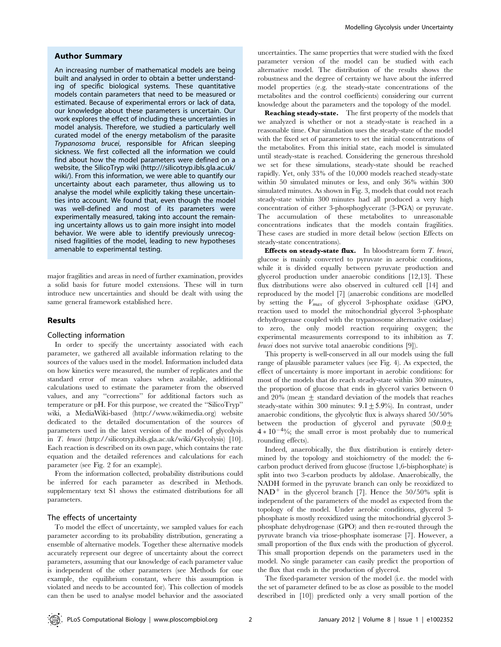#### Author Summary

An increasing number of mathematical models are being built and analysed in order to obtain a better understanding of specific biological systems. These quantitative models contain parameters that need to be measured or estimated. Because of experimental errors or lack of data, our knowledge about these parameters is uncertain. Our work explores the effect of including these uncertainties in model analysis. Therefore, we studied a particularly well curated model of the energy metabolism of the parasite Trypanosoma brucei, responsible for African sleeping sickness. We first collected all the information we could find about how the model parameters were defined on a website, the SilicoTryp wiki (http:///silicotryp.ibls.gla.ac.uk/ wiki/). From this information, we were able to quantify our uncertainty about each parameter, thus allowing us to analyse the model while explicitly taking these uncertainties into account. We found that, even though the model was well-defined and most of its parameters were experimentally measured, taking into account the remaining uncertainty allows us to gain more insight into model behavior. We were able to identify previously unrecognised fragilities of the model, leading to new hypotheses amenable to experimental testing.

major fragilities and areas in need of further examination, provides a solid basis for future model extensions. These will in turn introduce new uncertainties and should be dealt with using the same general framework established here.

#### Results

#### Collecting information

In order to specify the uncertainty associated with each parameter, we gathered all available information relating to the sources of the values used in the model. Information included data on how kinetics were measured, the number of replicates and the standard error of mean values when available, additional calculations used to estimate the parameter from the observed values, and any ''corrections'' for additional factors such as temperature or pH. For this purpose, we created the ''SilicoTryp'' wiki, a MediaWiki-based (http://www.wikimedia.org) website dedicated to the detailed documentation of the sources of parameters used in the latest version of the model of glycolysis in T. brucei (http://silicotryp.ibls.gla.ac.uk/wiki/Glycolysis) [10]. Each reaction is described on its own page, which contains the rate equation and the detailed references and calculations for each parameter (see Fig. 2 for an example).

From the information collected, probability distributions could be inferred for each parameter as described in Methods. supplementary text S1 shows the estimated distributions for all parameters.

#### The effects of uncertainty

To model the effect of uncertainty, we sampled values for each parameter according to its probability distribution, generating a ensemble of alternative models. Together these alternative models accurately represent our degree of uncertainty about the correct parameters, assuming that our knowledge of each parameter value is independent of the other parameters (see Methods for one example, the equilibrium constant, where this assumption is violated and needs to be accounted for). This collection of models can then be used to analyse model behavior and the associated uncertainties. The same properties that were studied with the fixed parameter version of the model can be studied with each alternative model. The distribution of the results shows the robustness and the degree of certainty we have about the inferred model properties (e.g. the steady-state concentrations of the metabolites and the control coefficients) considering our current knowledge about the parameters and the topology of the model.

Reaching steady-state. The first property of the models that we analyzed is whether or not a steady-state is reached in a reasonable time. Our simulation uses the steady-state of the model with the fixed set of parameters to set the initial concentrations of the metabolites. From this initial state, each model is simulated until steady-state is reached. Considering the generous threshold we set for these simulations, steady-state should be reached rapidly. Yet, only 33% of the 10,000 models reached steady-state within 50 simulated minutes or less, and only 36% within 300 simulated minutes. As shown in Fig. 3, models that could not reach steady-state within 300 minutes had all produced a very high concentration of either 3-phosphoglycerate (3-PGA) or pyruvate. The accumulation of these metabolites to unreasonable concentrations indicates that the models contain fragilities. These cases are studied in more detail below (section Effects on steady-state concentrations).

**Effects on steady-state flux.** In bloodstream form  $T$ . brucei, glucose is mainly converted to pyruvate in aerobic conditions, while it is divided equally between pyruvate production and glycerol production under anaerobic conditions [12,13]. These flux distributions were also observed in cultured cell [14] and reproduced by the model [7] (anaerobic conditions are modelled by setting the Vmax of glycerol 3-phosphate oxidase (GPO, reaction used to model the mitochondrial glycerol 3-phosphate dehydrogenase coupled with the trypanosome alternative oxidase) to zero, the only model reaction requiring oxygen; the experimental measurements correspond to its inhibition as T. brucei does not survive total anaerobic conditions [9]).

This property is well-conserved in all our models using the full range of plausible parameter values (see Fig. 4). As expected, the effect of uncertainty is more important in aerobic conditions: for most of the models that do reach steady-state within 300 minutes, the proportion of glucose that ends in glycerol varies between 0 and 20% (mean  $\pm$  standard deviation of the models that reaches steady-state within 300 minutes:  $9.1 \pm 5.9$ %). In contrast, under anaerobic conditions, the glycolytic flux is always shared 50/50% between the production of glycerol and pyruvate  $(50.0 \pm$  $4 * 10^{-4}\%$ ; the small error is most probably due to numerical rounding effects).

Indeed, anaerobically, the flux distribution is entirely determined by the topology and stoichiometry of the model: the 6 carbon product derived from glucose (fructose 1,6-bisphosphate) is split into two 3-carbon products by aldolase. Anaerobically, the NADH formed in the pyruvate branch can only be reoxidized to  $NAD^+$  in the glycerol branch [7]. Hence the 50/50% split is independent of the parameters of the model as expected from the topology of the model. Under aerobic conditions, glycerol 3 phosphate is mostly reoxidized using the mitochondrial glycerol 3 phosphate dehydrogenase (GPO) and then re-routed through the pyruvate branch via triose-phosphate isomerase [7]. However, a small proportion of the flux ends with the production of glycerol. This small proportion depends on the parameters used in the model. No single parameter can easily predict the proportion of the flux that ends in the production of glycerol.

The fixed-parameter version of the model (i.e. the model with the set of parameter defined to be as close as possible to the model described in [10]) predicted only a very small portion of the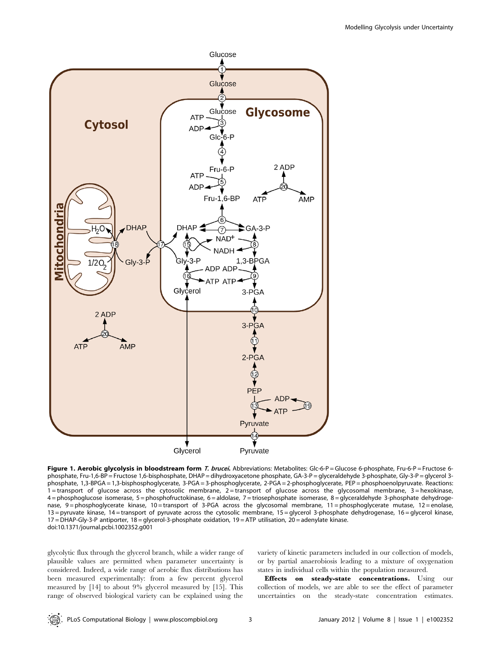

Figure 1. Aerobic glycolysis in bloodstream form T. brucei. Abbreviations: Metabolites: Glc-6-P = Glucose 6-phosphate, Fru-6-P = Fructose 6phosphate, Fru-1,6-BP = Fructose 1,6-bisphosphate, DHAP = dihydroxyacetone phosphate, GA-3-P = glyceraldehyde 3-phosphate, Gly-3-P = glycerol 3 phosphate, 1,3-BPGA = 1,3-bisphosphoglycerate, 3-PGA = 3-phosphoglycerate, 2-PGA = 2-phosphoglycerate, PEP = phosphoenolpyruvate. Reactions: 1 = transport of glucose across the cytosolic membrane, 2 = transport of glucose across the glycosomal membrane, 3 = hexokinase, 4 = phosphoglucose isomerase, 5 = phosphofructokinase, 6 = aldolase, 7 = triosephosphate isomerase, 8 = glyceraldehyde 3-phosphate dehydrogenase, 9 = phosphoglycerate kinase, 10 = transport of 3-PGA across the glycosomal membrane, 11 = phosphoglycerate mutase, 12 = enolase, 13 = pyruvate kinase, 14 = transport of pyruvate across the cytosolic membrane, 15 = glycerol 3-phosphate dehydrogenase, 16 = glycerol kinase, 17 = DHAP-Gly-3-P antiporter, 18 = glycerol-3-phosphate oxidation, 19 = ATP utilisation, 20 = adenylate kinase. doi:10.1371/journal.pcbi.1002352.g001

glycolytic flux through the glycerol branch, while a wider range of plausible values are permitted when parameter uncertainty is considered. Indeed, a wide range of aerobic flux distributions has been measured experimentally: from a few percent glycerol measured by [14] to about 9% glycerol measured by [15]. This range of observed biological variety can be explained using the

variety of kinetic parameters included in our collection of models, or by partial anaerobiosis leading to a mixture of oxygenation states in individual cells within the population measured.

Effects on steady-state concentrations. Using our collection of models, we are able to see the effect of parameter uncertainties on the steady-state concentration estimates.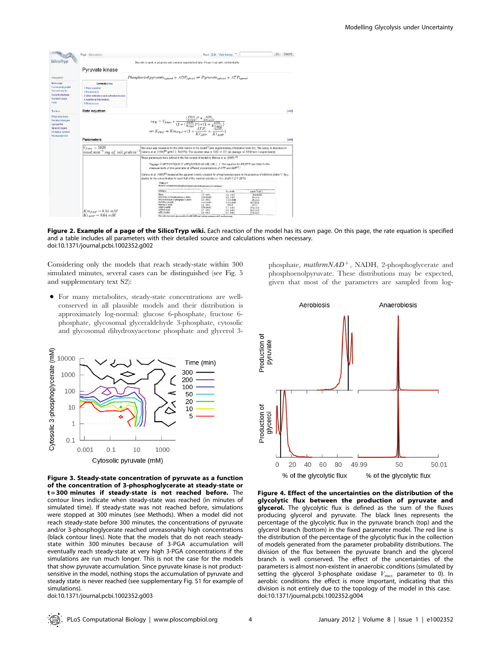|                                                                                          | Page Discussion                                                                                                                            |                                                                                                                                                                                                                                                                                                                                                                                                                                                                                                                                                                 | Read Edit View history |                        | Go<br>Search |
|------------------------------------------------------------------------------------------|--------------------------------------------------------------------------------------------------------------------------------------------|-----------------------------------------------------------------------------------------------------------------------------------------------------------------------------------------------------------------------------------------------------------------------------------------------------------------------------------------------------------------------------------------------------------------------------------------------------------------------------------------------------------------------------------------------------------------|------------------------|------------------------|--------------|
| <b>SilicoTrvp</b>                                                                        | This wiki is work in progress and contains unpublished data. Please treat with confidentiality.                                            |                                                                                                                                                                                                                                                                                                                                                                                                                                                                                                                                                                 |                        |                        |              |
|                                                                                          | Pyruvate kinase                                                                                                                            |                                                                                                                                                                                                                                                                                                                                                                                                                                                                                                                                                                 |                        |                        |              |
| Navigation                                                                               | $Phosphoenol pyruvate_{cutoff} + ADP_{cutoff} \rightleftharpoons Pyruvate_{cutoff} + ATP_{cutoff}$                                         |                                                                                                                                                                                                                                                                                                                                                                                                                                                                                                                                                                 |                        |                        |              |
| Main page<br>Community portal<br>Current events<br>Recent changes<br>Random page<br>Help | Contents (hide)<br>1 Rate equation<br>2 Paramolers<br>3 Other inhibitors and activators tested<br>4 Additional information<br>5 References |                                                                                                                                                                                                                                                                                                                                                                                                                                                                                                                                                                 |                        |                        |              |
| Toolbox                                                                                  | Rate equation                                                                                                                              |                                                                                                                                                                                                                                                                                                                                                                                                                                                                                                                                                                 |                        |                        | [4d]         |
| Special pages<br>Printable version<br>Permanent link                                     | Parameters                                                                                                                                 | $\begin{array}{c} v_{PK}=V_{fmax}*\frac{(\frac{PER}{K_{FEP}})*\frac{APE_{c}}{K_{mapp}}}{(1+(\frac{PER}{K_{FEP}})*\frac{(1+\frac{APE_{c}}{K_{mapp}})}{K_{FEP}+1})*(1+\frac{APE_{c}}{K_{mapp}})}\\ \end{array}$ with $K_{PEF}=Km_{PEF}*(1+\frac{APE}{Ki_{ATP}}+\frac{APE_{c}}{Ki_{ATP}})$                                                                                                                                                                                                                                                                         |                        |                        | [ed]         |
|                                                                                          | $V_{fmax} = 1020$                                                                                                                          | The value was measured for the 2005 version of the model <sup>512</sup> (see supplementary information table S1). The assay is described in<br>Callens et al. (1991) <sup>(2)</sup> (pH=7.2, T=25°C). The reported value is 1020 +/- 221 (4) (average +/- SEM from n experiments).                                                                                                                                                                                                                                                                              |                        |                        |              |
|                                                                                          | $nmol.min^{-1}.mg$ of cell protein                                                                                                         | These parameters were defined in the first version of model by Bakker et al. (1997) [3].<br>"KM PEP was filted to the "MHADPIc/0.64 mM mM   .   The equation for KM PEP was filted to the<br>measurements of this parameter at different concentrations of ATP and ADP <sup>(2)</sup> *<br>Callens et al. (1991) <sup>[2]</sup> measured the apparent kinetic constant for phosphoenoloyruvate in the presence of inhibitors (table V; Se a<br>stands for the concentration to reach half of the maximal activity i.e. Km: at pH=7.2 T=25*C):<br><b>TABLE V</b> |                        |                        |              |
|                                                                                          |                                                                                                                                            | Kinetic constants for phosphoenolpyruvate in the presence of inhibitors.<br>Inhibitor                                                                                                                                                                                                                                                                                                                                                                                                                                                                           | Á<br>$S_{n+}$ (mM)     | $Rmin^{-1}$ $K10^{-5}$ |              |

Figure 2. Example of a page of the SilicoTryp wiki. Each reaction of the model has its own page. On this page, the rate equation is specified and a table includes all parameters with their detailed source and calculations when necessary. doi:10.1371/journal.pcbi.1002352.g002

Considering only the models that reach steady-state within 300 simulated minutes, several cases can be distinguished (see Fig. 5 and supplementary text S2):

phosphate, glycosomal glyceraldehyde 3-phosphate, cytosolic and glycosomal dihydroxyacetone phosphate and glycerol 3-

- given that most of the parameters are sampled from log-• For many metabolites, steady-state concentrations are well-Aerobiosis conserved in all plausible models and their distribution is approximately log-normal: glucose 6-phosphate, fructose 6-
- Cytosolic 3-phosphoglycerate (mM) 10000 Time (min) 300 1000 200 100 100 50  $20$ 10  $10$ 5  $\mathbf{1}$  $0.1$  $0.001$  $0.1$  $10$ 1000 Cytosolic pyruvate (mM)

Figure 3. Steady-state concentration of pyruvate as a function of the concentration of 3-phosphoglycerate at steady-state or t = 300 minutes if steady-state is not reached before. The contour lines indicate when steady-state was reached (in minutes of simulated time). If steady-state was not reached before, simulations were stopped at 300 minutes (see Methods). When a model did not reach steady-state before 300 minutes, the concentrations of pyruvate and/or 3-phosphoglycerate reached unreasonably high concentrations (black contour lines). Note that the models that do not reach steadystate within 300 minutes because of 3-PGA accumulation will eventually reach steady-state at very high 3-PGA concentrations if the simulations are run much longer. This is not the case for the models that show pyruvate accumulation. Since pyruvate kinase is not productsensitive in the model, nothing stops the accumulation of pyruvate and steady state is never reached (see supplementary Fig. S1 for example of simulations). doi:10.1371/journal.pcbi.1002352.g003

Production of<br>pyruvate Production of glycerol 49.99 50.01  $\overline{0}$ 20 40 60 80 50 % of the glycolytic flux % of the glycolytic flux

phosphate,  $mathNAD^+$ , NADH, 2-phosphoglycerate and phosphoenolpyruvate. These distributions may be expected,

Anaerobiosis

Figure 4. Effect of the uncertainties on the distribution of the glycolytic flux between the production of pyruvate and glycerol. The glycolytic flux is defined as the sum of the fluxes producing glycerol and pyruvate. The black lines represents the percentage of the glycolytic flux in the pyruvate branch (top) and the glycerol branch (bottom) in the fixed parameter model. The red line is the distribution of the percentage of the glycolytic flux in the collection of models generated from the parameter probability distributions. The division of the flux between the pyruvate branch and the glycerol branch is well conserved. The effect of the uncertainties of the parameters is almost non-existent in anaerobic conditions (simulated by setting the glycerol 3-phosphate oxidase  $V_{max}$  parameter to 0). In aerobic conditions the effect is more important, indicating that this division is not entirely due to the topology of the model in this case. doi:10.1371/journal.pcbi.1002352.g004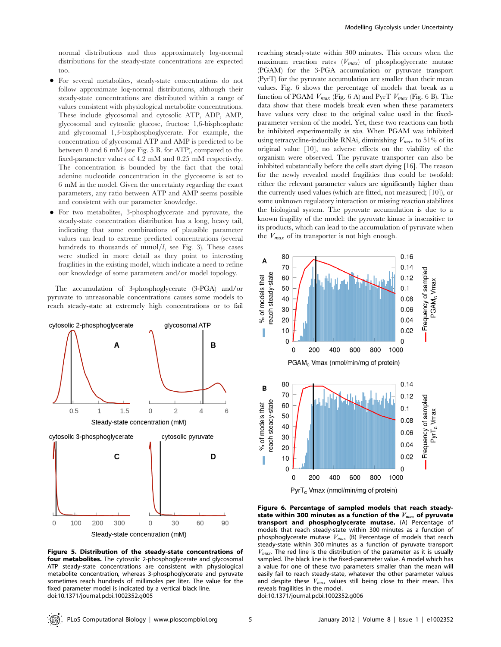normal distributions and thus approximately log-normal distributions for the steady-state concentrations are expected too.

- N For several metabolites, steady-state concentrations do not follow approximate log-normal distributions, although their steady-state concentrations are distributed within a range of values consistent with physiological metabolite concentrations. These include glycosomal and cytosolic ATP, ADP, AMP, glycosomal and cytosolic glucose, fructose 1,6-bisphosphate and glycosomal 1,3-bisphosphoglycerate. For example, the concentration of glycosomal ATP and AMP is predicted to be between 0 and 6 mM (see Fig. 5 B. for ATP), compared to the fixed-parameter values of 4.2 mM and 0.25 mM respectively. The concentration is bounded by the fact that the total adenine nucleotide concentration in the glycosome is set to 6 mM in the model. Given the uncertainty regarding the exact parameters, any ratio between ATP and AMP seems possible and consistent with our parameter knowledge.
- N For two metabolites, 3-phosphoglycerate and pyruvate, the steady-state concentration distribution has a long, heavy tail, indicating that some combinations of plausible parameter values can lead to extreme predicted concentrations (several hundreds to thousands of  $mmol/l$ , see Fig. 3). These cases were studied in more detail as they point to interesting fragilities in the existing model, which indicate a need to refine our knowledge of some parameters and/or model topology.

The accumulation of 3-phosphoglycerate (3-PGA) and/or pyruvate to unreasonable concentrations causes some models to reach steady-state at extremely high concentrations or to fail



Figure 5. Distribution of the steady-state concentrations of four metabolites. The cytosolic 2-phosphoglycerate and glycosomal ATP steady-state concentrations are consistent with physiological metabolite concentration, whereas 3-phosphoglycerate and pyruvate sometimes reach hundreds of millimoles per liter. The value for the fixed parameter model is indicated by a vertical black line. doi:10.1371/journal.pcbi.1002352.g005

reaching steady-state within 300 minutes. This occurs when the maximum reaction rates  $(V_{max})$  of phosphoglycerate mutase (PGAM) for the 3-PGA accumulation or pyruvate transport (PyrT) for the pyruvate accumulation are smaller than their mean values. Fig. 6 shows the percentage of models that break as a function of PGAM  $V_{max}$  (Fig. 6 A) and PyrT  $V_{max}$  (Fig. 6 B). The data show that these models break even when these parameters have values very close to the original value used in the fixedparameter version of the model. Yet, these two reactions can both be inhibited experimentally in vivo. When PGAM was inhibited using tetracycline-inducible RNAi, diminishing  $V_{max}$  to 51% of its original value [10], no adverse effects on the viability of the organism were observed. The pyruvate transporter can also be inhibited substantially before the cells start dying [16]. The reason for the newly revealed model fragilities thus could be twofold: either the relevant parameter values are significantly higher than the currently used values (which are fitted, not measured; [10]), or some unknown regulatory interaction or missing reaction stabilizes the biological system. The pyruvate accumulation is due to a known fragility of the model: the pyruvate kinase is insensitive to its products, which can lead to the accumulation of pyruvate when the  $V_{max}$  of its transporter is not high enough.



Figure 6. Percentage of sampled models that reach steadystate within 300 minutes as a function of the  $V_{max}$  of pyruvate transport and phosphoglycerate mutase. (A) Percentage of models that reach steady-state within 300 minutes as a function of phosphoglycerate mutase  $V_{max}$  (B) Percentage of models that reach steady-state within 300 minutes as a function of pyruvate transport  $V_{max}$ . The red line is the distribution of the parameter as it is usually sampled. The black line is the fixed-parameter value. A model which has a value for one of these two parameters smaller than the mean will easily fail to reach steady-state, whatever the other parameter values and despite these  $V_{max}$  values still being close to their mean. This reveals fragilities in the model.

doi:10.1371/journal.pcbi.1002352.g006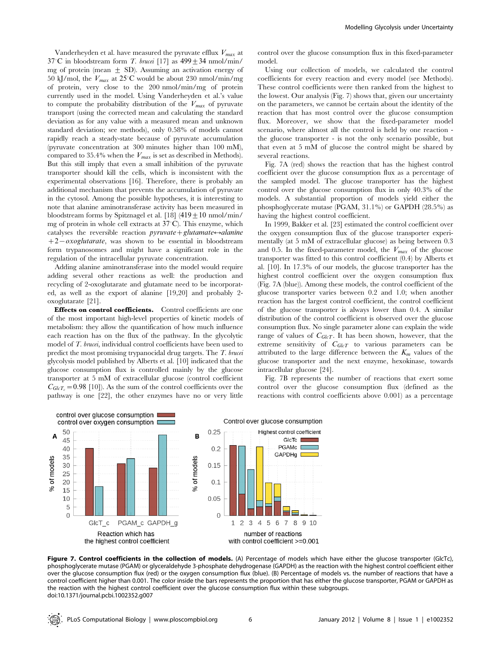Vanderheyden et al. have measured the pyruvate efflux  $V_{max}$  at  $37^{\circ}$ C in bloodstream form *T. brucei* [17] as  $499 \pm 34$  nmol/min/ mg of protein (mean  $\pm$  SD). Assuming an activation energy of 50 kJ/mol, the  $V_{max}$  at 25°C would be about 230 nmol/min/mg of protein, very close to the 200 nmol/min/mg of protein currently used in the model. Using Vanderheyden et al.'s value to compute the probability distribution of the  $V_{max}$  of pyruvate transport (using the corrected mean and calculating the standard deviation as for any value with a measured mean and unknown standard deviation; see methods), only 0.58% of models cannot rapidly reach a steady-state because of pyruvate accumulation (pyruvate concentration at 300 minutes higher than 100 mM), compared to 35.4% when the  $V_{max}$  is set as described in Methods). But this still imply that even a small inhibition of the pyruvate transporter should kill the cells, which is inconsistent with the experimental observations [16]. Therefore, there is probably an additional mechanism that prevents the accumulation of pyruvate in the cytosol. Among the possible hypotheses, it is interesting to note that alanine aminotransferase activity has been measured in bloodstream forms by Spitznagel et al.  $[18]$  (419 + 10 nmol/min/ mg of protein in whole cell extracts at 37°C). This enzyme, which catalyses the reversible reaction  $pyruvate + glutamate \leftrightarrow alanine$  $+2$  - oxoglutarate, was shown to be essential in bloodstream form trypanosomes and might have a significant role in the regulation of the intracellular pyruvate concentration.

Adding alanine aminotransferase into the model would require adding several other reactions as well: the production and recycling of 2-oxoglutarate and glutamate need to be incorporated, as well as the export of alanine [19,20] and probably 2 oxoglutarate [21].

Effects on control coefficients. Control coefficients are one of the most important high-level properties of kinetic models of metabolism: they allow the quantification of how much influence each reaction has on the flux of the pathway. In the glycolytic model of T. brucei, individual control coefficients have been used to predict the most promising trypanocidal drug targets. The T. brucei glycolysis model published by Alberts et al. [10] indicated that the glucose consumption flux is controlled mainly by the glucose transporter at 5 mM of extracellular glucose (control coefficient  $C_{GlcT_c}=0.98$  [10]). As the sum of the control coefficients over the pathway is one [22], the other enzymes have no or very little

control over the glucose consumption flux in this fixed-parameter model.

Using our collection of models, we calculated the control coefficients for every reaction and every model (see Methods). These control coefficients were then ranked from the highest to the lowest. Our analysis (Fig. 7) shows that, given our uncertainty on the parameters, we cannot be certain about the identity of the reaction that has most control over the glucose consumption flux. Moreover, we show that the fixed-parameter model scenario, where almost all the control is held by one reaction the glucose transporter - is not the only scenario possible, but that even at 5 mM of glucose the control might be shared by several reactions.

Fig. 7A (red) shows the reaction that has the highest control coefficient over the glucose consumption flux as a percentage of the sampled model. The glucose transporter has the highest control over the glucose consumption flux in only 40.3% of the models. A substantial proportion of models yield either the phosphoglycerate mutase (PGAM, 31.1%) or GAPDH (28.5%) as having the highest control coefficient.

In 1999, Bakker et al. [23] estimated the control coefficient over the oxygen consumption flux of the glucose transporter experimentally (at 5 mM of extracellular glucose) as being between 0.3 and 0.5. In the fixed-parameter model, the  $V_{max}$  of the glucose transporter was fitted to this control coefficient (0.4) by Alberts et al. [10]. In 17.3% of our models, the glucose transporter has the highest control coefficient over the oxygen consumption flux (Fig. 7A (blue)). Among these models, the control coefficient of the glucose transporter varies between 0.2 and 1.0; when another reaction has the largest control coefficient, the control coefficient of the glucose transporter is always lower than 0.4. A similar distribution of the control coefficient is observed over the glucose consumption flux. No single parameter alone can explain the wide range of values of  $C_{GlcT}$ . It has been shown, however, that the extreme sensitivity of  $C_{GlcT}$  to various parameters can be attributed to the large difference between the  $K_m$  values of the glucose transporter and the next enzyme, hexokinase, towards intracellular glucose [24].

Fig. 7B represents the number of reactions that exert some control over the glucose consumption flux (defined as the reactions with control coefficients above 0.001) as a percentage



Figure 7. Control coefficients in the collection of models. (A) Percentage of models which have either the glucose transporter (GlcTc), phosphoglycerate mutase (PGAM) or glyceraldehyde 3-phosphate dehydrogenase (GAPDH) as the reaction with the highest control coefficient either over the glucose consumption flux (red) or the oxygen consumption flux (blue). (B) Percentage of models vs. the number of reactions that have a control coefficient higher than 0.001. The color inside the bars represents the proportion that has either the glucose transporter, PGAM or GAPDH as the reaction with the highest control coefficient over the glucose consumption flux within these subgroups. doi:10.1371/journal.pcbi.1002352.g007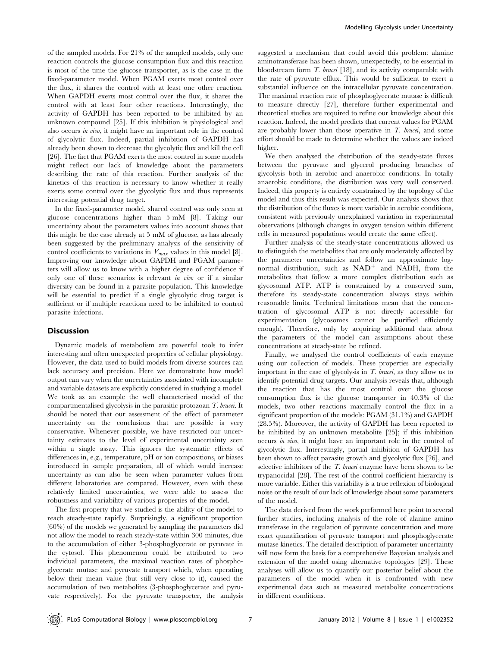of the sampled models. For 21% of the sampled models, only one reaction controls the glucose consumption flux and this reaction is most of the time the glucose transporter, as is the case in the fixed-parameter model. When PGAM exerts most control over the flux, it shares the control with at least one other reaction. When GAPDH exerts most control over the flux, it shares the control with at least four other reactions. Interestingly, the activity of GAPDH has been reported to be inhibited by an unknown compound [25]. If this inhibition is physiological and also occurs in vivo, it might have an important role in the control of glycolytic flux. Indeed, partial inhibition of GAPDH has already been shown to decrease the glycolytic flux and kill the cell [26]. The fact that PGAM exerts the most control in some models might reflect our lack of knowledge about the parameters describing the rate of this reaction. Further analysis of the kinetics of this reaction is necessary to know whether it really exerts some control over the glycolytic flux and thus represents interesting potential drug target.

In the fixed-parameter model, shared control was only seen at glucose concentrations higher than 5 mM [8]. Taking our uncertainty about the parameters values into account shows that this might be the case already at 5 mM of glucose, as has already been suggested by the preliminary analysis of the sensitivity of control coefficients to variations in  $V_{max}$  values in this model [8]. Improving our knowledge about GAPDH and PGAM parameters will allow us to know with a higher degree of confidence if only one of these scenarios is relevant in vivo or if a similar diversity can be found in a parasite population. This knowledge will be essential to predict if a single glycolytic drug target is sufficient or if multiple reactions need to be inhibited to control parasite infections.

#### **Discussion**

Dynamic models of metabolism are powerful tools to infer interesting and often unexpected properties of cellular physiology. However, the data used to build models from diverse sources can lack accuracy and precision. Here we demonstrate how model output can vary when the uncertainties associated with incomplete and variable datasets are explicitly considered in studying a model. We took as an example the well characterised model of the compartmentalised glycolysis in the parasitic protozoan T. brucei. It should be noted that our assessment of the effect of parameter uncertainty on the conclusions that are possible is very conservative. Whenever possible, we have restricted our uncertainty estimates to the level of experimental uncertainty seen within a single assay. This ignores the systematic effects of differences in, e.g., temperature, pH or ion compositions, or biases introduced in sample preparation, all of which would increase uncertainty as can also be seen when parameter values from different laboratories are compared. However, even with these relatively limited uncertainties, we were able to assess the robustness and variability of various properties of the model.

The first property that we studied is the ability of the model to reach steady-state rapidly. Surprisingly, a significant proportion (60%) of the models we generated by sampling the parameters did not allow the model to reach steady-state within 300 minutes, due to the accumulation of either 3-phosphoglycerate or pyruvate in the cytosol. This phenomenon could be attributed to two individual parameters, the maximal reaction rates of phosphoglycerate mutase and pyruvate transport which, when operating below their mean value (but still very close to it), caused the accumulation of two metabolites (3-phosphoglycerate and pyruvate respectively). For the pyruvate transporter, the analysis

suggested a mechanism that could avoid this problem: alanine aminotransferase has been shown, unexpectedly, to be essential in bloodstream form T. brucei [18], and its activity comparable with the rate of pyruvate efflux. This would be sufficient to exert a substantial influence on the intracellular pyruvate concentration. The maximal reaction rate of phosphoglycerate mutase is difficult to measure directly [27], therefore further experimental and theoretical studies are required to refine our knowledge about this reaction. Indeed, the model predicts that current values for PGAM are probably lower than those operative in  $T$ . brucei, and some effort should be made to determine whether the values are indeed higher.

We then analysed the distribution of the steady-state fluxes between the pyruvate and glycerol producing branches of glycolysis both in aerobic and anaerobic conditions. In totally anaerobic conditions, the distribution was very well conserved. Indeed, this property is entirely constrained by the topology of the model and thus this result was expected. Our analysis shows that the distribution of the fluxes is more variable in aerobic conditions, consistent with previously unexplained variation in experimental observations (although changes in oxygen tension within different cells in measured populations would create the same effect).

Further analysis of the steady-state concentrations allowed us to distinguish the metabolites that are only moderately affected by the parameter uncertainties and follow an approximate lognormal distribution, such as  $NAD^+$  and NADH, from the metabolites that follow a more complex distribution such as glycosomal ATP. ATP is constrained by a conserved sum, therefore its steady-state concentration always stays within reasonable limits. Technical limitations mean that the concentration of glycosomal ATP is not directly accessible for experimentation (glycosomes cannot be purified efficiently enough). Therefore, only by acquiring additional data about the parameters of the model can assumptions about these concentrations at steady-state be refined.

Finally, we analysed the control coefficients of each enzyme using our collection of models. These properties are especially important in the case of glycolysis in  $T$ . brucei, as they allow us to identify potential drug targets. Our analysis reveals that, although the reaction that has the most control over the glucose consumption flux is the glucose transporter in 40.3% of the models, two other reactions maximally control the flux in a significant proportion of the models: PGAM (31.1%) and GAPDH (28.5%). Moreover, the activity of GAPDH has been reported to be inhibited by an unknown metabolite [25]; if this inhibition occurs in vivo, it might have an important role in the control of glycolytic flux. Interestingly, partial inhibition of GAPDH has been shown to affect parasite growth and glycolytic flux [26], and selective inhibitors of the *T. brucei* enzyme have been shown to be trypanocidal [28]. The rest of the control coefficient hierarchy is more variable. Either this variability is a true reflexion of biological noise or the result of our lack of knowledge about some parameters of the model.

The data derived from the work performed here point to several further studies, including analysis of the role of alanine amino transferase in the regulation of pyruvate concentration and more exact quantification of pyruvate transport and phosphoglycerate mutase kinetics. The detailed description of parameter uncertainty will now form the basis for a comprehensive Bayesian analysis and extension of the model using alternative topologies [29]. These analyses will allow us to quantify our posterior belief about the parameters of the model when it is confronted with new experimental data such as measured metabolite concentrations in different conditions.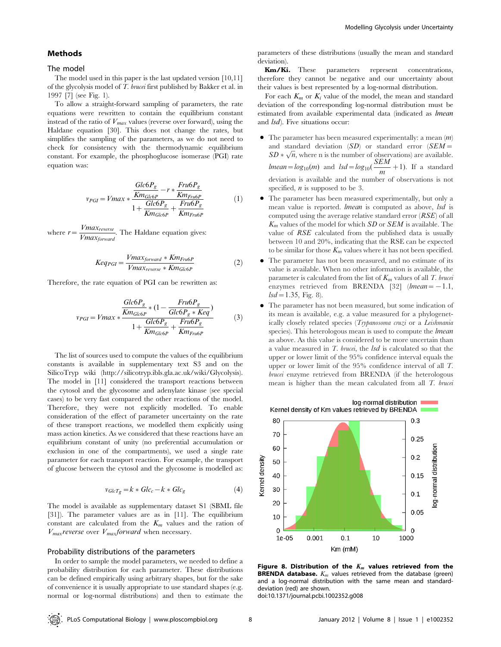#### Methods

#### The model

The model used in this paper is the last updated version [10,11] of the glycolysis model of T. brucei first published by Bakker et al. in 1997 [7] (see Fig. 1).

To allow a straight-forward sampling of parameters, the rate equations were rewritten to contain the equilibrium constant instead of the ratio of  $V_{max}$  values (reverse over forward), using the Haldane equation [30]. This does not change the rates, but simplifies the sampling of the parameters, as we do not need to check for consistency with the thermodynamic equilibrium constant. For example, the phosphoglucose isomerase (PGI) rate equation was:

$$
v_{PGI} = Vmax \times \frac{\frac{Glc6P_g}{Km_{Glc6P}} - r \times \frac{Fru6P_g}{Km_{Fru6P}}}{1 + \frac{Glc6P_g}{Km_{Glc6P}} + \frac{Fru6P_g}{Km_{Fru6P}}}
$$
(1)

where  $r = \frac{Vmax_{reverse}}{Vmax_{forward}}$ . The Haldane equation gives:

$$
Keq_{PGI} = \frac{Vmax_{forward} * Km_{Fru6P}}{Vmax_{reverse} * Km_{Glc6P}}
$$
 (2)

Therefore, the rate equation of PGI can be rewritten as:

$$
v_{PGI} = Vmax * \frac{Glc6P_g}{Km_{Glc6P}} * (1 - \frac{Fru6P_g}{Glc6P_g * Keq}) + \frac{Glc6P_g}{Km_{Glc6P}} + \frac{Fru6P_g}{Km_{Fru6P}}
$$
(3)

The list of sources used to compute the values of the equilibrium constants is available in supplementary text S3 and on the SilicoTryp wiki (http://silicotryp.ibls.gla.ac.uk/wiki/Glycolysis). The model in [11] considered the transport reactions between the cytosol and the glycosome and adenylate kinase (see special cases) to be very fast compared the other reactions of the model. Therefore, they were not explicitly modelled. To enable consideration of the effect of parameter uncertainty on the rate of these transport reactions, we modelled them explicitly using mass action kinetics. As we considered that these reactions have an equilibrium constant of unity (no preferential accumulation or exclusion in one of the compartments), we used a single rate parameter for each transport reaction. For example, the transport of glucose between the cytosol and the glycosome is modelled as:

$$
v_{GlcTg} = k * Glc_c - k * Glc_g \tag{4}
$$

The model is available as supplementary dataset S1 (SBML file [31]). The parameter values are as in [11]. The equilibrium constant are calculated from the  $K_m$  values and the ration of  $V_{max}$ reverse over  $V_{max}$ forward when necessary.

#### Probability distributions of the parameters

In order to sample the model parameters, we needed to define a probability distribution for each parameter. These distributions can be defined empirically using arbitrary shapes, but for the sake of convenience it is usually appropriate to use standard shapes (e.g. normal or log-normal distributions) and then to estimate the

parameters of these distributions (usually the mean and standard deviation).

Km/Ki. These parameters represent concentrations, therefore they cannot be negative and our uncertainty about their values is best represented by a log-normal distribution.

For each  $K_m$  or  $K_i$  value of the model, the mean and standard deviation of the corresponding log-normal distribution must be estimated from available experimental data (indicated as lmean and *lsd*). Five situations occur:

- $\bullet$  The parameter has been measured experimentally: a mean  $(m)$ and standard deviation  $(SD)$  or standard error  $(SEM=$ and standard deviation  $(SD)$  or standard error  $(SEM = SD * \sqrt{n}$ , where n is the number of observations) are available. *lmean*=*log*<sub>10</sub>(*m*) and *lsd*=*log*<sub>10</sub>( $\frac{SEM}{m}$ +1). If a standard deviation is available and the number of observations is not specified,  $n$  is supposed to be 3.
- The parameter has been measured experimentally, but only a mean value is reported. *lmean* is computed as above, *lsd* is computed using the average relative standard error  $(RSE)$  of all  $K_m$  values of the model for which  $SD$  or  $SEM$  is available. The value of RSE calculated from the published data is usually between 10 and 20%, indicating that the RSE can be expected to be similar for those  $K_m$  values where it has not been specified.
- The parameter has not been measured, and no estimate of its value is available. When no other information is available, the parameter is calculated from the list of  $K_m$  values of all T. brucei enzymes retrieved from BRENDA [32] (*lmean* =  $-1.1$ ,  $lsd=1.35$ , Fig. 8).
- The parameter has not been measured, but some indication of its mean is available, e.g. a value measured for a phylogenetically closely related species (Trypanosoma cruzi or a Leishmania species). This heterologous mean is used to compute the *lmean* as above. As this value is considered to be more uncertain than a value measured in T. brucei, the lsd is calculated so that the upper or lower limit of the 95% confidence interval equals the upper or lower limit of the 95% confidence interval of all T. brucei enzyme retrieved from BRENDA (if the heterologous mean is higher than the mean calculated from all T. brucei



Figure 8. Distribution of the  $K_m$  values retrieved from the **BRENDA database.**  $K_m$  values retrieved from the database (green) and a log-normal distribution with the same mean and standarddeviation (red) are shown.

doi:10.1371/journal.pcbi.1002352.g008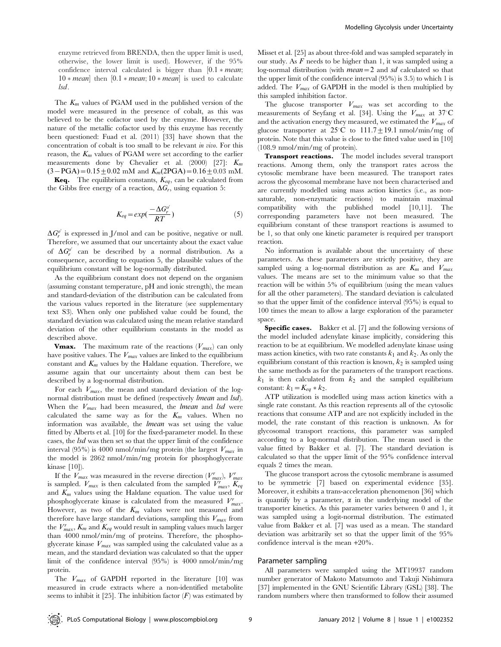enzyme retrieved from BRENDA, then the upper limit is used, otherwise, the lower limit is used). However, if the 95% confidence interval calculated is bigger than  $[0.1*mean;$  $10 * mean$  then  $[0.1 * mean; 10 * mean]$  is used to calculate lsd.

The  $K_m$  values of PGAM used in the published version of the model were measured in the presence of cobalt, as this was believed to be the cofactor used by the enzyme. However, the nature of the metallic cofactor used by this enzyme has recently been questioned: Fuad et al. (2011) [33] have shown that the concentration of cobalt is too small to be relevant in vivo. For this reason, the  $K_m$  values of PGAM were set according to the earlier measurements done by Chevalier et al. (2000) [27]:  $K_m$  $(3-\text{PGA})=0.15\pm0.02$  mM and  $K_m(2\text{PGA})=0.16\pm0.03$  mM.

**Keq.** The equilibrium constants,  $K_{eq}$ , can be calculated from the Gibbs free energy of a reaction,  $\Delta G_r$ , using equation 5:

$$
K_{eq} = exp(\frac{-\Delta G_r^{o'}}{RT})
$$
\n(5)

 $\Delta G_r^{\rho'}$  is expressed in J/mol and can be positive, negative or null. Therefore, we assumed that our uncertainty about the exact value of  $\Delta G_r^{\rho'}$  can be described by a normal distribution. As a consequence, according to equation 5, the plausible values of the equilibrium constant will be log-normally distributed.

As the equilibrium constant does not depend on the organism (assuming constant temperature, pH and ionic strength), the mean and standard-deviation of the distribution can be calculated from the various values reported in the literature (see supplementary text S3). When only one published value could be found, the standard deviation was calculated using the mean relative standard deviation of the other equilibrium constants in the model as described above.

**Vmax.** The maximum rate of the reactions  $(V_{max})$  can only have positive values. The  $V_{max}$  values are linked to the equilibrium constant and  $K_m$  values by the Haldane equation. Therefore, we assume again that our uncertainty about them can best be described by a log-normal distribution.

For each  $V_{max}$ , the mean and standard deviation of the lognormal distribution must be defined (respectively *lmean* and *lsd*). When the  $V_{max}$  had been measured, the *lmean* and *lsd* were calculated the same way as for the  $K_m$  values. When no information was available, the lmean was set using the value fitted by Alberts et al. [10] for the fixed-parameter model. In these cases, the lsd was then set so that the upper limit of the confidence interval (95%) is 4000 nmol/min/mg protein (the largest  $V_{max}$  in the model is 2862 nmol/min/mg protein for phosphoglycerate kinase [10]).

If the  $V_{max}$  was measured in the reverse direction  $(V_{max}^r)$ ,  $V_{max}^r$ is sampled.  $V_{max}$  is then calculated from the sampled  $\overline{V}_{max}^r$ ,  $\overline{K}_{eq}$ and  $K_m$  values using the Haldane equation. The value used for phosphoglycerate kinase is calculated from the measured  $V_{max}^r$ . However, as two of the  $K_m$  values were not measured and therefore have large standard deviations, sampling this  $V_{max}$  from the  $V_{max}^r$ ,  $K_m$  and  $K_{eq}$  would result in sampling values much larger than 4000 nmol/min/mg of proteins. Therefore, the phosphoglycerate kinase  $V_{max}$  was sampled using the calculated value as a mean, and the standard deviation was calculated so that the upper limit of the confidence interval (95%) is 4000 nmol/min/mg protein.

The  $V_{max}$  of GAPDH reported in the literature [10] was measured in crude extracts where a non-identified metabolite seems to inhibit it [25]. The inhibition factor  $(F)$  was estimated by

Misset et al. [25] as about three-fold and was sampled separately in our study. As  $F$  needs to be higher than 1, it was sampled using a log-normal distribution (with  $mean = 2$  and sd calculated so that the upper limit of the confidence interval (95%) is 3.5) to which 1 is added. The  $V_{max}$  of GAPDH in the model is then multiplied by this sampled inhibition factor.

The glucose transporter  $V_{max}$  was set according to the measurements of Seyfang et al. [34]. Using the  $V_{max}$  at 37°C and the activation energy they measured, we estimated the  $V_{max}$  of glucose transporter at  $25^{\circ}$ C to  $111.7 \pm 19.1$  nmol/min/mg of protein. Note that this value is close to the fitted value used in [10] (108.9 nmol/min/mg of protein).

Transport reactions. The model includes several transport reactions. Among them, only the transport rates across the cytosolic membrane have been measured. The transport rates across the glycosomal membrane have not been characterised and are currently modelled using mass action kinetics (i.e., as nonsaturable, non-enzymatic reactions) to maintain maximal compatibility with the published model [10,11]. The corresponding parameters have not been measured. The equilibrium constant of these transport reactions is assumed to be 1, so that only one kinetic parameter is required per transport reaction.

No information is available about the uncertainty of these parameters. As these parameters are strictly positive, they are sampled using a log-normal distribution as are  $K_m$  and  $V_{max}$ values. The means are set to the minimum value so that the reaction will be within 5% of equilibrium (using the mean values for all the other parameters). The standard deviation is calculated so that the upper limit of the confidence interval (95%) is equal to 100 times the mean to allow a large exploration of the parameter space.

Specific cases. Bakker et al. [7] and the following versions of the model included adenylate kinase implicitly, considering this reaction to be at equilibrium. We modelled adenylate kinase using mass action kinetics, with two rate constants  $k_1$  and  $k_2$ . As only the equilibrium constant of this reaction is known,  $k_2$  is sampled using the same methods as for the parameters of the transport reactions.  $k_1$  is then calculated from  $k_2$  and the sampled equilibrium constant:  $k_1 = K_{eq} * k_2$ .

ATP utilization is modelled using mass action kinetics with a single rate constant. As this reaction represents all of the cytosolic reactions that consume ATP and are not explicitly included in the model, the rate constant of this reaction is unknown. As for glycosomal transport reactions, this parameter was sampled according to a log-normal distribution. The mean used is the value fitted by Bakker et al. [7]. The standard deviation is calculated so that the upper limit of the 95% confidence interval equals 2 times the mean.

The glucose transport across the cytosolic membrane is assumed to be symmetric [7] based on experimental evidence [35]. Moreover, it exhibits a trans-acceleration phenomenon [36] which is quantify by a parameter,  $\alpha$  in the underlying model of the transporter kinetics. As this parameter varies between 0 and 1, it was sampled using a logit-normal distribution. The estimated value from Bakker et al. [7] was used as a mean. The standard deviation was arbitrarily set so that the upper limit of the 95% confidence interval is the mean +20%.

#### Parameter sampling

All parameters were sampled using the MT19937 random number generator of Makoto Matsumoto and Takuji Nishimura [37] implemented in the GNU Scientific Library (GSL) [38]. The random numbers where then transformed to follow their assumed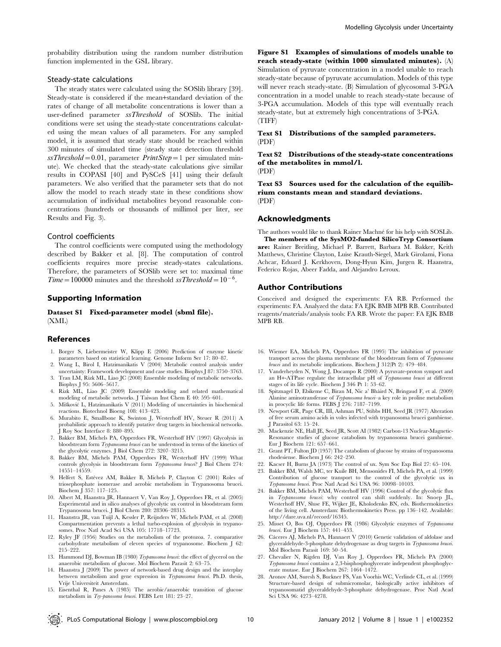probability distribution using the random number distribution function implemented in the GSL library.

#### Steady-state calculations

The steady states were calculated using the SOSlib library [39]. Steady-state is considered if the mean+standard deviation of the rates of change of all metabolite concentrations is lower than a user-defined parameter ssThreshold of SOSlib. The initial conditions were set using the steady-state concentrations calculated using the mean values of all parameters. For any sampled model, it is assumed that steady state should be reached within 300 minutes of simulated time (steady state detection threshold  $ssThreshold = 0.01$ , parameter *PrintStep* = 1 per simulated minute). We checked that the steady-state calculations give similar results in COPASI [40] and PySCeS [41] using their default parameters. We also verified that the parameter sets that do not allow the model to reach steady state in these conditions show accumulation of individual metabolites beyond reasonable concentrations (hundreds or thousands of millimol per liter, see Results and Fig. 3).

#### Control coefficients

The control coefficients were computed using the methodology described by Bakker et al. [8]. The computation of control coefficients requires more precise steady-states calculations. Therefore, the parameters of SOSlib were set to: maximal time Time=100000 minutes and the threshold ssThreshold=10<sup>-6</sup>.

#### Supporting Information

Dataset S1 Fixed-parameter model (sbml file). (XML)

#### References

- 1. Borger S, Liebermeister W, Klipp E (2006) Prediction of enzyme kinetic parameters based on statistical learning. Genome Inform Ser 17: 80–87.
- 2. Wang L, Birol I, Hatzimanikatis V (2004) Metabolic control analysis under uncertainty: Framework development and case studies. Biophys J 87: 3750–3763.
- 3. Tran LM, Rizk ML, Liao JC (2008) Ensemble modeling of metabolic networks. Biophys J 95: 5606–5617.
- 4. Rizk ML, Liao JC (2009) Ensemble modeling and related mathematical modeling of metabolic networks. J Taiwan Inst Chem E 40: 595–601.
- 5. Mišković L, Hatzimanikatis V (2011) Modeling of uncertainties in biochemical reactions. Biotechnol Bioeng 108: 413–423.
- 6. Murabito E, Smallbone K, Swinton J, Westerhoff HV, Steuer R (2011) A probabilistic approach to identify putative drug targets in biochemical networks. J Roy Soc Interface 8: 880–895.
- 7. Bakker BM, Michels PA, Opperdoes FR, Westerhoff HV (1997) Glycolysis in bloodstream form Trypanosoma brucei can be understood in terms of the kinetics of the glycolytic enzymes. J Biol Chem 272: 3207–3215.
- 8. Bakker BM, Michels PAM, Opperdoes FR, Westerhoff HV (1999) What controls glycolysis in bloodstream form Trypanosoma brucei? J Biol Chem 274: 14551–14559.
- 9. Helfert S, Estévez AM, Bakker B, Michels P, Clayton C (2001) Roles of triosephosphate isomerase and aerobic metabolism in Trypanosoma brucei. Biochem J 357: 117–125.
- 10. Albert M, Haanstra JR, Hannaert V, Van Roy J, Opperdoes FR, et al. (2005) Experimental and in silico analyses of glycolytic ux control in bloodstream form Trypanosoma brucei. J Biol Chem 280: 28306–28315.
- 11. Haanstra JR, van Tuijl A, Kessler P, Reijnders W, Michels PAM, et al. (2008) Compartmentation prevents a lethal turbo-explosion of glycolysis in trypanosomes. Proc Natl Acad Sci USA 105: 17718–17723.
- 12. Ryley JF (1956) Studies on the metabolism of the protozoa. 7. comparative carbohydrate metabolism of eleven species of trypanosome. Biochem J 62: 215–222.
- 13. Hammond DJ, Bowman IB (1980) Trypanosoma brucei: the effect of glycerol on the anaerobic metabolism of glucose. Mol Biochem Parasit 2: 63–75.
- 14. Haanstra J (2009) The power of network-based drug design and the interplay between metabolism and gene expression in Trypanosoma brucei. Ph.D. thesis, Vrije Universiteit Amsterdam.

Modelling Glycolysis under Uncertainty

Figure S1 Examples of simulations of models unable to reach steady-state (within 1000 simulated minutes). (A) Simulation of pyruvate concentration in a model unable to reach steady-state because of pyruvate accumulation. Models of this type will never reach steady-state. (B) Simulation of glycosomal 3-PGA concentration in a model unable to reach steady-state because of 3-PGA accumulation. Models of this type will eventually reach steady-state, but at extremely high concentrations of 3-PGA. (TIFF)

#### Text S1 Distributions of the sampled parameters. (PDF)

Text S2 Distributions of the steady-state concentrations of the metabolites in mmol/l. (PDF)

Text S3 Sources used for the calculation of the equilibrium constants mean and standard deviations. (PDF)

#### Acknowledgments

The authors would like to thank Rainer Machné for his help with SOSLib. The members of the SysMO2-funded SilicoTryp Consortium are: Rainer Breitling, Michael P. Barrett, Barbara M. Bakker, Keith Matthews, Christine Clayton, Luise Krauth-Siegel, Mark Girolami, Fiona Achcar, Eduard J. Kerkhoven, Dong-Hyun Kim, Jurgen R. Haanstra, Federico Rojas, Abeer Fadda, and Alejandro Leroux.

#### Author Contributions

Conceived and designed the experiments: FA RB. Performed the experiments: FA. Analyzed the data: FA EJK BMB MPB RB. Contributed reagents/materials/analysis tools: FA RB. Wrote the paper: FA EJK BMB MPB RB.

- 16. Wiemer EA, Michels PA, Opperdoes FR (1995) The inhibition of pyruvate transport across the plasma membrane of the bloodstream form of Trypanosoma brucei and its metabolic implications. Biochem J 312(Pt 2): 479-484.
- 17. Vanderheyden N, Wong J, Docampo R (2000) A pyruvate-proton symport and an H+-ATPase regulate the intracellular pH of Trypanosoma brucei at different stages of its life cycle. Biochem J 346 Pt 1: 53–62.
- 18. Spitznagel D, Ebikeme C, Biran M, Nic a' Bha´ird N, Bringaud F, et al. (2009) Alanine aminotransferase of Trypanosoma brucei–a key role in proline metabolism in procyclic life forms. FEBS J 276: 7187–7199.
- 19. Newport GR, Page CR, III, Ashman PU, Stibbs HH, Seed JR (1977) Alteration of free serum amino acids in voles infected with trypanosoma brucei gambiense. J Parasitol 63: 15–24.
- 20. Mackenzie NE, Hall JE, Seed JR, Scott AI (1982) Carbon-13 Nuclear-Magnetic-Resonance studies of glucose catabolism by trypanosoma brucei gambiense. Eur J Biochem 121: 657–661.
- 21. Grant PT, Fulton JD (1957) The catabolism of glucose by strains of trypanosoma rhodesiense. Biochem J 66: 242–250.
- 22. Kacser H, Burns JA (1973) The control of ux. Sym Soc Exp Biol 27: 65–104.
- 23. Bakker BM, Walsh MC, ter Kuile BH, Mensonides FI, Michels PA, et al. (1999) Contribution of glucose transport to the control of the glycolytic ux in Trypanosoma brucei. Proc Natl Acad Sci USA 96: 10098–10103.
- 24. Bakker BM, Michels PAM, Westerhoff HV (1996) Control of the glycolytic flux in Trypanosoma brucei: why control can shift suddenly. In: Snoep JL, Westerhoff HV, Sluse FE, Wijker JE, Kholodenko BN, eds. Biothermokinetics of the living cell. Amsterdam: Biothermokinetics Press. pp 136–142. Available: http://dare.uva.nl/record/16345.
- 25. Misset O, Bos OJ, Opperdoes FR (1986) Glycolytic enzymes of Trypanosoma brucei. Eur J Biochem 157: 441–453.
- 26. Cáceres AJ, Michels PA, Hannaert V (2010) Genetic validation of aldolase and glyceraldehyde-3-phosphate dehydrogenase as drug targets in Trypanosoma brucei. Mol Biochem Parasit 169: 50–54.
- 27. Chevalier N, Rigden DJ, Van Roy J, Opperdoes FR, Michels PA (2000) Trypanosoma brucei contains a 2,3-bisphosphoglycerate independent phosphoglycerate mutase. Eur J Biochem 267: 1464–1472.
- 28. Aronov AM, Suresh S, Buckner FS, Van Voorhis WC, Verlinde CL, et al. (1999) Structure-based design of submicromolar, biologically active inhibitors of trypanosomatid glyceraldehyde-3-phosphate dehydrogenase. Proc Natl Acad Sci USA 96: 4273–4278.
- 15. Eisenthal R, Panes A (1985) The aerobic/anaerobic transition of glucose metabolism in Try-panosoma brucei. FEBS Lett 181: 23–27.